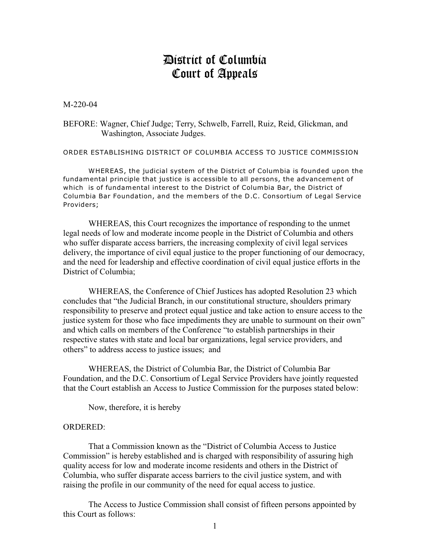## District of Columbia Court of Appeals

M-220-04

BEFORE: Wagner, Chief Judge; Terry, Schwelb, Farrell, Ruiz, Reid, Glickman, and Washington, Associate Judges.

ORDER ESTABLISHING DISTRICT OF COLUMBIA ACCESS TO JUSTICE COMMISSION

WHEREAS, the judicial system of the District of Columbia is founded upon the fundamental principle that justice is accessible to all persons, the advancement of which is of fundamental interest to the District of Columbia Bar, the District of Columbia Bar Foundation, and the members of the D.C. Consortium of Legal Service Providers;

WHEREAS, this Court recognizes the importance of responding to the unmet legal needs of low and moderate income people in the District of Columbia and others who suffer disparate access barriers, the increasing complexity of civil legal services delivery, the importance of civil equal justice to the proper functioning of our democracy, and the need for leadership and effective coordination of civil equal justice efforts in the District of Columbia;

WHEREAS, the Conference of Chief Justices has adopted Resolution 23 which concludes that "the Judicial Branch, in our constitutional structure, shoulders primary responsibility to preserve and protect equal justice and take action to ensure access to the justice system for those who face impediments they are unable to surmount on their own" and which calls on members of the Conference "to establish partnerships in their respective states with state and local bar organizations, legal service providers, and others" to address access to justice issues; and

WHEREAS, the District of Columbia Bar, the District of Columbia Bar Foundation, and the D.C. Consortium of Legal Service Providers have jointly requested that the Court establish an Access to Justice Commission for the purposes stated below:

Now, therefore, it is hereby

## ORDERED:

That a Commission known as the "District of Columbia Access to Justice Commission" is hereby established and is charged with responsibility of assuring high quality access for low and moderate income residents and others in the District of Columbia, who suffer disparate access barriers to the civil justice system, and with raising the profile in our community of the need for equal access to justice.

The Access to Justice Commission shall consist of fifteen persons appointed by this Court as follows: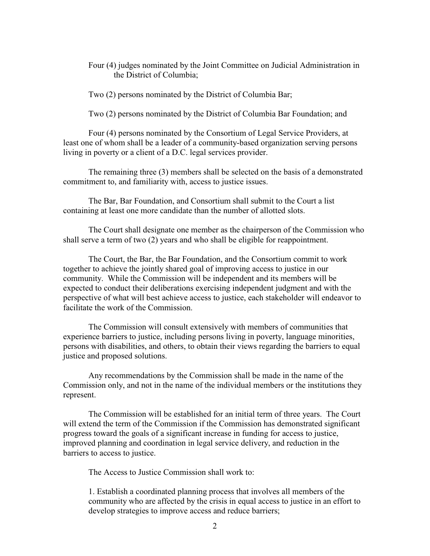Four (4) judges nominated by the Joint Committee on Judicial Administration in the District of Columbia;

Two (2) persons nominated by the District of Columbia Bar;

Two (2) persons nominated by the District of Columbia Bar Foundation; and

Four (4) persons nominated by the Consortium of Legal Service Providers, at least one of whom shall be a leader of a community-based organization serving persons living in poverty or a client of a D.C. legal services provider.

The remaining three (3) members shall be selected on the basis of a demonstrated commitment to, and familiarity with, access to justice issues.

The Bar, Bar Foundation, and Consortium shall submit to the Court a list containing at least one more candidate than the number of allotted slots.

The Court shall designate one member as the chairperson of the Commission who shall serve a term of two (2) years and who shall be eligible for reappointment.

The Court, the Bar, the Bar Foundation, and the Consortium commit to work together to achieve the jointly shared goal of improving access to justice in our community. While the Commission will be independent and its members will be expected to conduct their deliberations exercising independent judgment and with the perspective of what will best achieve access to justice, each stakeholder will endeavor to facilitate the work of the Commission.

The Commission will consult extensively with members of communities that experience barriers to justice, including persons living in poverty, language minorities, persons with disabilities, and others, to obtain their views regarding the barriers to equal justice and proposed solutions.

Any recommendations by the Commission shall be made in the name of the Commission only, and not in the name of the individual members or the institutions they represent.

The Commission will be established for an initial term of three years. The Court will extend the term of the Commission if the Commission has demonstrated significant progress toward the goals of a significant increase in funding for access to justice, improved planning and coordination in legal service delivery, and reduction in the barriers to access to justice.

The Access to Justice Commission shall work to:

1. Establish a coordinated planning process that involves all members of the community who are affected by the crisis in equal access to justice in an effort to develop strategies to improve access and reduce barriers;